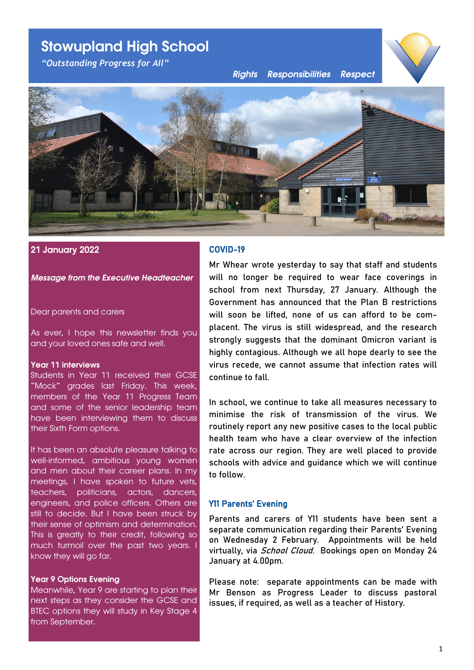# **Stowupland High School**

*"Outstanding Progress for All"*

*Rights Responsibilities Respect*





## **21 January 2022**

#### *Message from the Executive Headteacher*

#### Dear parents and carers

As ever, I hope this newsletter finds you and your loved ones safe and well.

#### **Year 11 interviews**

Students in Year 11 received their GCSE "Mock" grades last Friday. This week, members of the Year 11 Progress Team and some of the senior leadership team have been interviewing them to discuss their Sixth Form options.

It has been an absolute pleasure talking to well-informed, ambitious young women and men about their career plans. In my meetings, I have spoken to future vets, teachers, politicians, actors, dancers, engineers, and police officers. Others are still to decide. But I have been struck by their sense of optimism and determination. This is greatly to their credit, following so much turmoil over the past two years. I know they will go far.

#### **Year 9 Options Evening**

Meanwhile, Year 9 are starting to plan their next steps as they consider the GCSE and BTEC options they will study in Key Stage 4 from September.

# COVID-19

Mr Whear wrote yesterday to say that staff and students will no longer be required to wear face coverings in school from next Thursday, 27 January. Although the Government has announced that the Plan B restrictions will soon be lifted, none of us can afford to be complacent. The virus is still widespread, and the research strongly suggests that the dominant Omicron variant is highly contagious. Although we all hope dearly to see the virus recede, we cannot assume that infection rates will continue to fall.

In school, we continue to take all measures necessary to minimise the risk of transmission of the virus. We routinely report any new positive cases to the local public health team who have a clear overview of the infection rate across our region. They are well placed to provide schools with advice and guidance which we will continue to follow.

#### Y11 Parents' Evening

Parents and carers of Y11 students have been sent a separate communication regarding their Parents' Evening on Wednesday 2 February. Appointments will be held virtually, via *School Cloud.* Bookings open on Monday 24 January at 4.00pm.

Please note: separate appointments can be made with Mr Benson as Progress Leader to discuss pastoral issues, if required, as well as a teacher of History.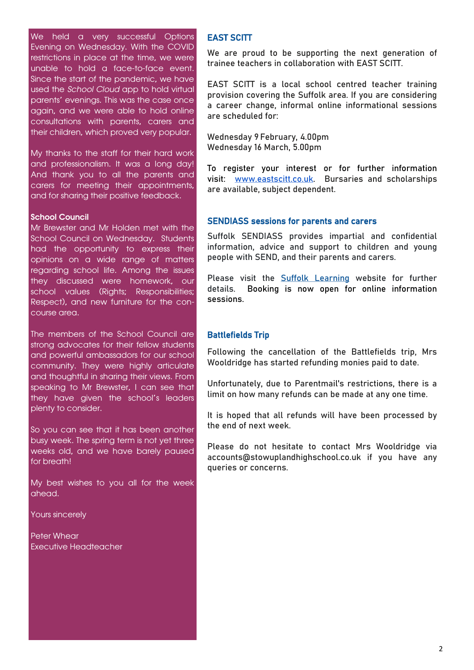We held a very successful Options Evening on Wednesday. With the COVID restrictions in place at the time, we were unable to hold a face-to-face event. Since the start of the pandemic, we have used the *School Cloud* app to hold virtual parents' evenings. This was the case once again, and we were able to hold online consultations with parents, carers and their children, which proved very popular.

My thanks to the staff for their hard work and professionalism. It was a long day! And thank you to all the parents and carers for meeting their appointments, and for sharing their positive feedback.

#### **School Council**

Mr Brewster and Mr Holden met with the School Council on Wednesday. Students had the opportunity to express their opinions on a wide range of matters regarding school life. Among the issues they discussed were homework, our school values (Rights; Responsibilities; Respect), and new furniture for the concourse area.

The members of the School Council are strong advocates for their fellow students and powerful ambassadors for our school community. They were highly articulate and thoughtful in sharing their views. From speaking to Mr Brewster, I can see that they have given the school's leaders plenty to consider.

So you can see that it has been another busy week. The spring term is not yet three weeks old, and we have barely paused for breath!

My best wishes to you all for the week ahead.

Yours sincerely

Peter Whear Executive Headteacher

## EAST SCITT

We are proud to be supporting the next generation of trainee teachers in collaboration with EAST SCITT.

EAST SCITT is a local school centred teacher training provision covering the Suffolk area. If you are considering a career change, informal online informational sessions are scheduled for:

Wednesday 9 February, 4.00pm Wednesday 16 March, 5.00pm

To register your interest or for further information visit: [www.eastscitt.co.uk.](http://www.eastscitt.co.uk/) Bursaries and scholarships are available, subject dependent.

#### SENDIASS sessions for parents and carers

Suffolk SENDIASS provides impartial and confidential information, advice and support to children and young people with SEND, and their parents and carers.

Please visit the [Suffolk Learning](https://suffolklearning.com/suffolk-headlines-tuesday-18-january-2022/sendiass-sessions-for-parents-and-carers/) website for further details. Booking is now open for online information sessions.

#### Battlefields Trip

Following the cancellation of the Battlefields trip, Mrs Wooldridge has started refunding monies paid to date.

Unfortunately, due to Parentmail's restrictions, there is a limit on how many refunds can be made at any one time.

It is hoped that all refunds will have been processed by the end of next week.

Please do not hesitate to contact Mrs Wooldridge via accounts@stowuplandhighschool.co.uk if you have any queries or concerns.